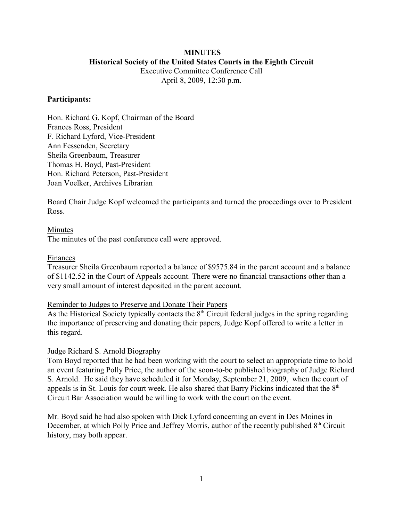# **MINUTES Historical Society of the United States Courts in the Eighth Circuit**

Executive Committee Conference Call April 8, 2009, 12:30 p.m.

## **Participants:**

Hon. Richard G. Kopf, Chairman of the Board Frances Ross, President F. Richard Lyford, Vice-President Ann Fessenden, Secretary Sheila Greenbaum, Treasurer Thomas H. Boyd, Past-President Hon. Richard Peterson, Past-President Joan Voelker, Archives Librarian

Board Chair Judge Kopf welcomed the participants and turned the proceedings over to President Ross.

## Minutes

The minutes of the past conference call were approved.

## Finances

Treasurer Sheila Greenbaum reported a balance of \$9575.84 in the parent account and a balance of \$1142.52 in the Court of Appeals account. There were no financial transactions other than a very small amount of interest deposited in the parent account.

## Reminder to Judges to Preserve and Donate Their Papers

As the Historical Society typically contacts the  $8<sup>th</sup>$  Circuit federal judges in the spring regarding the importance of preserving and donating their papers, Judge Kopf offered to write a letter in this regard.

## Judge Richard S. Arnold Biography

Tom Boyd reported that he had been working with the court to select an appropriate time to hold an event featuring Polly Price, the author of the soon-to-be published biography of Judge Richard S. Arnold. He said they have scheduled it for Monday, September 21, 2009, when the court of appeals is in St. Louis for court week. He also shared that Barry Pickins indicated that the  $8<sup>th</sup>$ Circuit Bar Association would be willing to work with the court on the event.

Mr. Boyd said he had also spoken with Dick Lyford concerning an event in Des Moines in December, at which Polly Price and Jeffrey Morris, author of the recently published  $8<sup>th</sup>$  Circuit history, may both appear.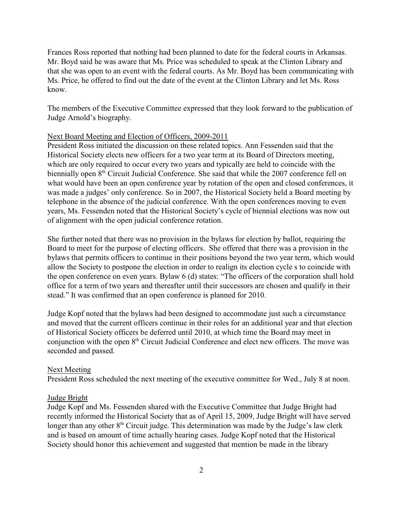Frances Ross reported that nothing had been planned to date for the federal courts in Arkansas. Mr. Boyd said he was aware that Ms. Price was scheduled to speak at the Clinton Library and that she was open to an event with the federal courts. As Mr. Boyd has been communicating with Ms. Price, he offered to find out the date of the event at the Clinton Library and let Ms. Ross know.

The members of the Executive Committee expressed that they look forward to the publication of Judge Arnold's biography.

#### Next Board Meeting and Election of Officers, 2009-2011

President Ross initiated the discussion on these related topics. Ann Fessenden said that the Historical Society elects new officers for a two year term at its Board of Directors meeting, which are only required to occur every two years and typically are held to coincide with the biennially open 8<sup>th</sup> Circuit Judicial Conference. She said that while the 2007 conference fell on what would have been an open conference year by rotation of the open and closed conferences, it was made a judges' only conference. So in 2007, the Historical Society held a Board meeting by telephone in the absence of the judicial conference. With the open conferences moving to even years, Ms. Fessenden noted that the Historical Society's cycle of biennial elections was now out of alignment with the open judicial conference rotation.

She further noted that there was no provision in the bylaws for election by ballot, requiring the Board to meet for the purpose of electing officers. She offered that there was a provision in the bylaws that permits officers to continue in their positions beyond the two year term, which would allow the Society to postpone the election in order to realign its election cycle s to coincide with the open conference on even years. Bylaw 6 (d) states: "The officers of the corporation shall hold office for a term of two years and thereafter until their successors are chosen and qualify in their stead." It was confirmed that an open conference is planned for 2010.

Judge Kopf noted that the bylaws had been designed to accommodate just such a circumstance and moved that the current officers continue in their roles for an additional year and that election of Historical Society officers be deferred until 2010, at which time the Board may meet in conjunction with the open  $8<sup>th</sup>$  Circuit Judicial Conference and elect new officers. The move was seconded and passed.

#### Next Meeting

President Ross scheduled the next meeting of the executive committee for Wed., July 8 at noon.

#### Judge Bright

Judge Kopf and Ms. Fessenden shared with the Executive Committee that Judge Bright had recently informed the Historical Society that as of April 15, 2009, Judge Bright will have served longer than any other 8<sup>th</sup> Circuit judge. This determination was made by the Judge's law clerk and is based on amount of time actually hearing cases. Judge Kopf noted that the Historical Society should honor this achievement and suggested that mention be made in the library